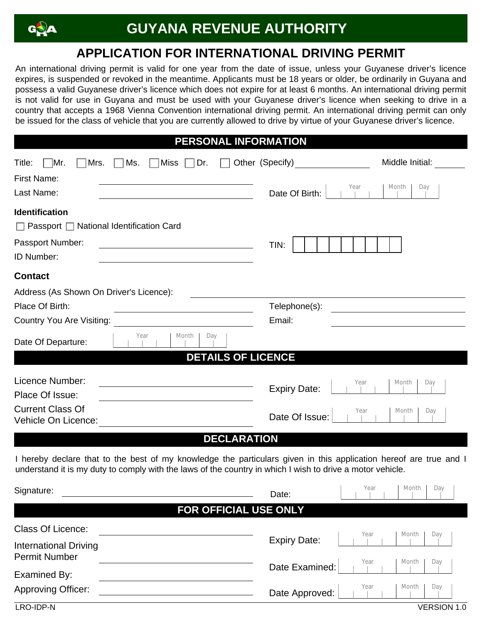

Examined By:

Approving Officer:

## **APPLICATION FOR INTERNATIONAL DRIVING PERMIT**

An international driving permit is valid for one year from the date of issue, unless your Guyanese driver's licence expires, is suspended or revoked in the meantime. Applicants must be 18 years or older, be ordinarily in Guyana and possess a valid Guyanese driver's licence which does not expire for at least 6 months. An international driving permit is not valid for use in Guyana and must be used with your Guyanese driver's licence when seeking to drive in a country that accepts a 1968 Vienna Convention international driving permit. An international driving permit can only be issued for the class of vehicle that you are currently allowed to drive by virtue of your Guyanese driver's licence.

|  | <b>PERSONAL INFORMATION</b> |  |  |  |  |
|--|-----------------------------|--|--|--|--|
|--|-----------------------------|--|--|--|--|

| Title:<br>∣Mr.<br>Mrs.<br>Ms.<br>Miss<br>Dr.                                                                                                                                                                                   | Other (Specify)     | Middle Initial:        |
|--------------------------------------------------------------------------------------------------------------------------------------------------------------------------------------------------------------------------------|---------------------|------------------------|
| <b>First Name:</b>                                                                                                                                                                                                             |                     |                        |
| Last Name:                                                                                                                                                                                                                     | Date Of Birth:      | Year<br>Month<br>Day   |
| <b>Identification</b>                                                                                                                                                                                                          |                     |                        |
| $\Box$ Passport $\Box$ National Identification Card                                                                                                                                                                            |                     |                        |
| Passport Number:                                                                                                                                                                                                               | TIN:                |                        |
| ID Number:                                                                                                                                                                                                                     |                     |                        |
| <b>Contact</b>                                                                                                                                                                                                                 |                     |                        |
| Address (As Shown On Driver's Licence):                                                                                                                                                                                        |                     |                        |
| Place Of Birth:<br><u> 1989 - Johann Stein, mars and de Branch and de Branch and de Branch and de Branch and de Branch and de Branch</u>                                                                                       | Telephone(s):       |                        |
| Country You Are Visiting:                                                                                                                                                                                                      | Email:              |                        |
| Month<br>Day<br>Year<br>Date Of Departure:                                                                                                                                                                                     |                     |                        |
| <b>DETAILS OF LICENCE</b>                                                                                                                                                                                                      |                     |                        |
| Licence Number:                                                                                                                                                                                                                |                     | Year<br>Month          |
| <u> 1989 - Johann Barn, mars ann an t-Amhain Aonaich an t-Aonaich an t-Aonaich ann an t-Aonaich ann an t-Aonaich</u><br>Place Of Issue:                                                                                        | <b>Expiry Date:</b> | Day                    |
| <b>Current Class Of</b><br>Vehicle On Licence:                                                                                                                                                                                 | Date Of Issue:      | Year<br>Month<br>Day   |
| <b>DECLARATION</b>                                                                                                                                                                                                             |                     |                        |
| I hereby declare that to the best of my knowledge the particulars given in this application hereof are true and I<br>understand it is my duty to comply with the laws of the country in which I wish to drive a motor vehicle. |                     |                        |
| Signature:                                                                                                                                                                                                                     | Date:               | Year<br>Month<br>Day   |
| FOR OFFICIAL USE ONLY                                                                                                                                                                                                          |                     |                        |
| Class Of Licence:                                                                                                                                                                                                              |                     | Year<br>Month<br>Day   |
| <b>International Driving</b><br><b>Permit Number</b>                                                                                                                                                                           | <b>Expiry Date:</b> | Year<br>Month  <br>Day |

Date Examined:

Date Approved:

LRO-IDP-N VERSION 1.0

Year | Month | Day